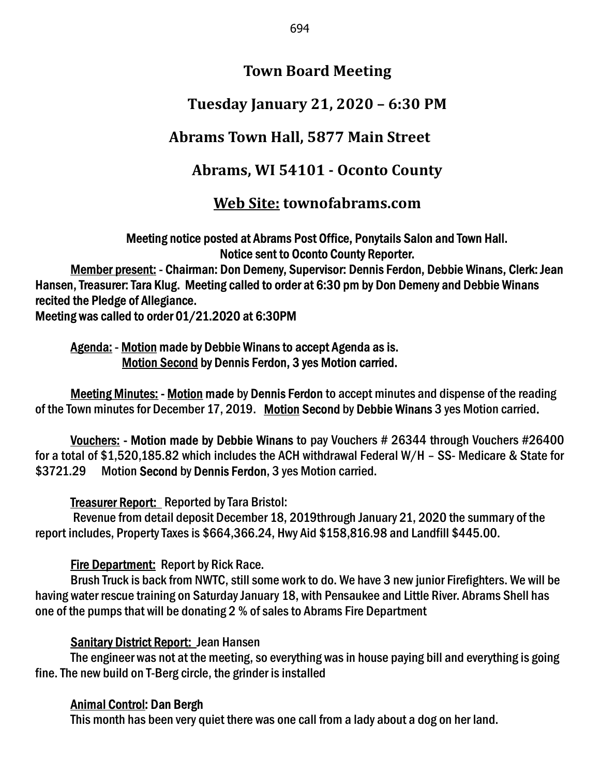## Town Board Meeting

# Tuesday January 21, 2020 – 6:30 PM

# Abrams Town Hall, 5877 Main Street

# Abrams, WI 54101 - Oconto County

## Web Site: townofabrams.com

#### Meeting notice posted at Abrams Post Office, Ponytails Salon and Town Hall. Notice sent to Oconto County Reporter.

Member present: - Chairman: Don Demeny, Supervisor: Dennis Ferdon, Debbie Winans, Clerk: Jean Hansen, Treasurer: Tara Klug. Meeting called to order at 6:30 pm by Don Demeny and Debbie Winans recited the Pledge of Allegiance.

Meeting was called to order 01/21.2020 at 6:30PM

### Agenda: - Motion made by Debbie Winans to accept Agenda as is. Motion Second by Dennis Ferdon, 3 yes Motion carried.

Meeting Minutes: - Motion made by Dennis Ferdon to accept minutes and dispense of the reading of the Town minutes for December 17, 2019. Motion Second by Debbie Winans 3 yes Motion carried.

Vouchers: - Motion made by Debbie Winans to pay Vouchers # 26344 through Vouchers #26400 for a total of \$1,520,185.82 which includes the ACH withdrawal Federal W/H – SS- Medicare & State for \$3721.29 Motion Second by Dennis Ferdon, 3 yes Motion carried.

## Treasurer Report: Reported by Tara Bristol:

 Revenue from detail deposit December 18, 2019through January 21, 2020 the summary of the report includes, Property Taxes is \$664,366.24, Hwy Aid \$158,816.98 and Landfill \$445.00.

## Fire Department: Report by Rick Race.

Brush Truck is back from NWTC, still some work to do. We have 3 new junior Firefighters. We will be having water rescue training on Saturday January 18, with Pensaukee and Little River. Abrams Shell has one of the pumps that will be donating 2 % of sales to Abrams Fire Department

## Sanitary District Report: Jean Hansen

The engineer was not at the meeting, so everything was in house paying bill and everything is going fine. The new build on T-Berg circle, the grinder is installed

## Animal Control: Dan Bergh

This month has been very quiet there was one call from a lady about a dog on her land.

694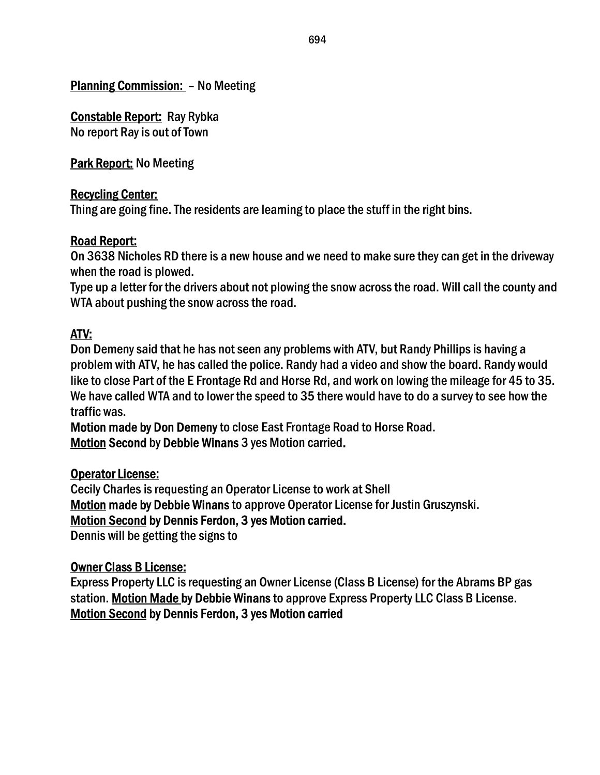#### Planning Commission: – No Meeting

Constable Report: Ray Rybka No report Ray is out of Town

Park Report: No Meeting

#### Recycling Center:

Thing are going fine. The residents are learning to place the stuff in the right bins.

### Road Report:

On 3638 Nicholes RD there is a new house and we need to make sure they can get in the driveway when the road is plowed.

Type up a letter for the drivers about not plowing the snow across the road. Will call the county and WTA about pushing the snow across the road.

## ATV:

Don Demeny said that he has not seen any problems with ATV, but Randy Phillips is having a problem with ATV, he has called the police. Randy had a video and show the board. Randy would like to close Part of the E Frontage Rd and Horse Rd, and work on lowing the mileage for 45 to 35. We have called WTA and to lower the speed to 35 there would have to do a survey to see how the traffic was.

Motion made by Don Demeny to close East Frontage Road to Horse Road. Motion Second by Debbie Winans 3 yes Motion carried.

#### Operator License:

Cecily Charles is requesting an Operator License to work at Shell Motion made by Debbie Winans to approve Operator License for Justin Gruszynski. Motion Second by Dennis Ferdon, 3 yes Motion carried. Dennis will be getting the signs to

#### Owner Class B License:

Express Property LLC is requesting an Owner License (Class B License) for the Abrams BP gas station. Motion Made by Debbie Winans to approve Express Property LLC Class B License. Motion Second by Dennis Ferdon, 3 yes Motion carried